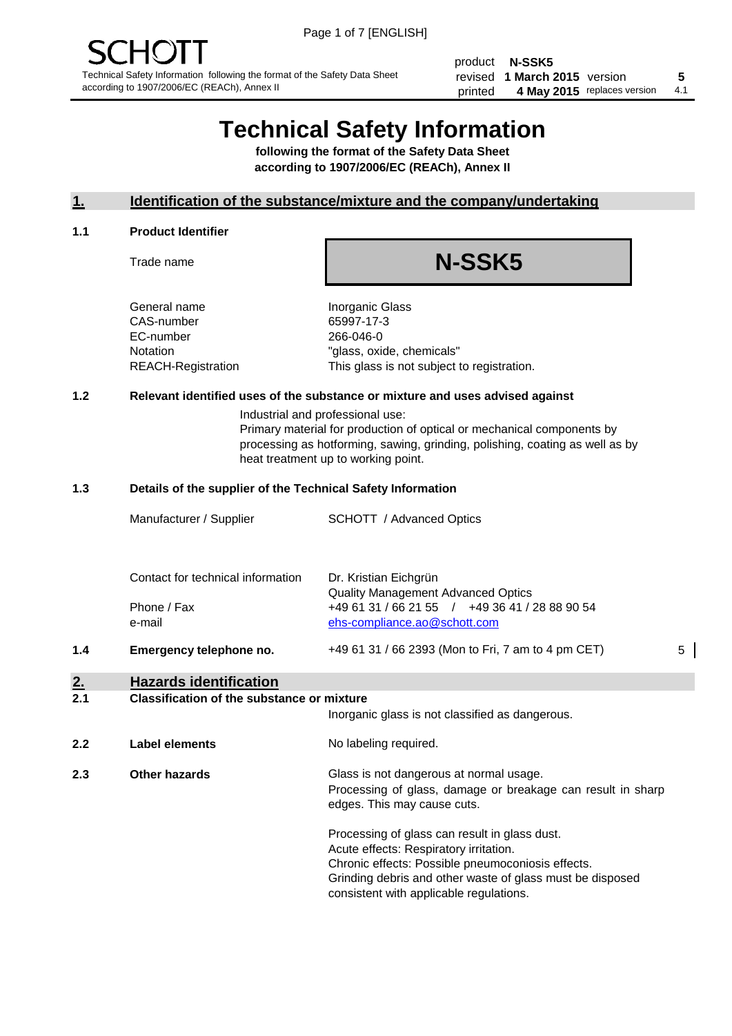product **N-SSK5** revised **5 1 March 2015** version printed 4 May 2015 replaces version 4.1

## **Technical Safety Information**

**following the format of the Safety Data Sheet according to 1907/2006/EC (REACh), Annex II**

#### **1. Identification of the substance/mixture and the company/undertaking**

#### **1.1 Product Identifier**

Trade name

# **N-SSK5**

General name **Inorganic Glass** CAS-number 65997-17-3 EC-number 266-046-0

Notation "glass, oxide, chemicals" REACH-Registration This glass is not subject to registration.

#### **1.2 Relevant identified uses of the substance or mixture and uses advised against**

Industrial and professional use: Primary material for production of optical or mechanical components by processing as hotforming, sawing, grinding, polishing, coating as well as by heat treatment up to working point.

#### **1.3 Details of the supplier of the Technical Safety Information**

|     | Manufacturer / Supplier           | <b>SCHOTT</b> / Advanced Optics                                                             |   |
|-----|-----------------------------------|---------------------------------------------------------------------------------------------|---|
|     |                                   |                                                                                             |   |
|     | Contact for technical information | Dr. Kristian Eichgrün                                                                       |   |
|     | Phone / Fax                       | <b>Quality Management Advanced Optics</b><br>+49 61 31 / 66 21 55 / +49 36 41 / 28 88 90 54 |   |
|     | e-mail                            | ehs-compliance.ao@schott.com                                                                |   |
| 1.4 | Emergency telephone no.           | +49 61 31 / 66 2393 (Mon to Fri, 7 am to 4 pm CET)                                          | 5 |

#### **2. Hazards identification**

#### **2.1 Classification of the substance or mixture**

|                             |                | Inorganic glass is not classified as dangerous.                                                                                                                                                                                                      |  |
|-----------------------------|----------------|------------------------------------------------------------------------------------------------------------------------------------------------------------------------------------------------------------------------------------------------------|--|
| 2.2                         | Label elements | No labeling required.                                                                                                                                                                                                                                |  |
| 2.3<br><b>Other hazards</b> |                | Glass is not dangerous at normal usage.<br>Processing of glass, damage or breakage can result in sharp<br>edges. This may cause cuts.                                                                                                                |  |
|                             |                | Processing of glass can result in glass dust.<br>Acute effects: Respiratory irritation.<br>Chronic effects: Possible pneumoconiosis effects.<br>Grinding debris and other waste of glass must be disposed<br>consistent with applicable regulations. |  |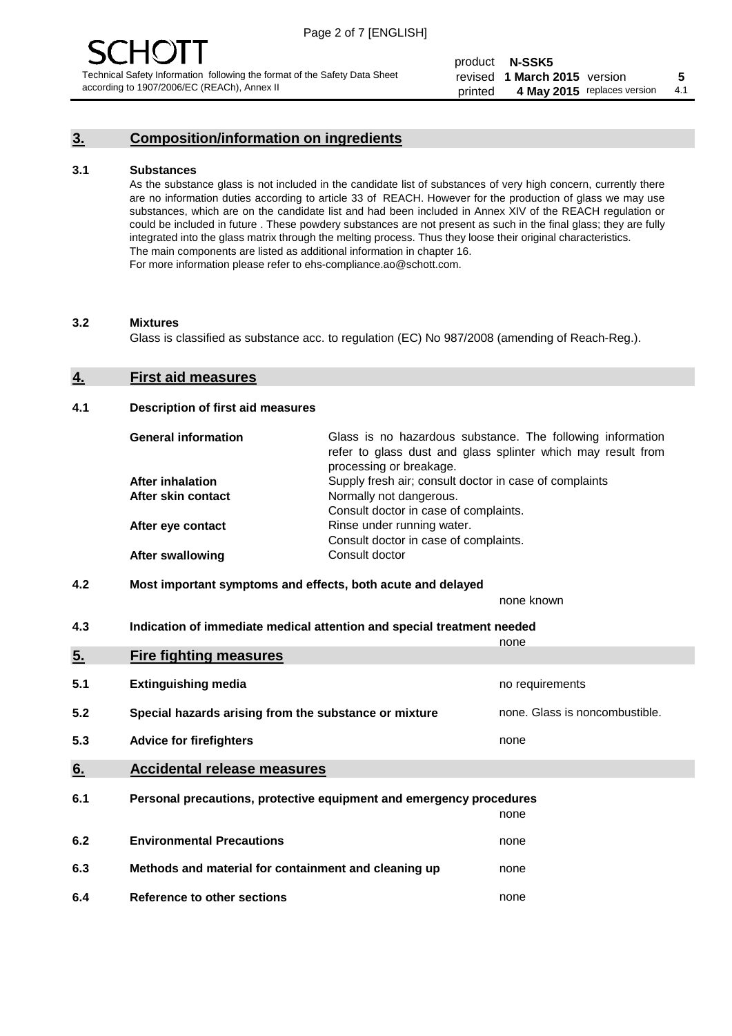## **3. Composition/information on ingredients**

#### **3.1 Substances**

As the substance glass is not included in the candidate list of substances of very high concern, currently there are no information duties according to article 33 of REACH. However for the production of glass we may use substances, which are on the candidate list and had been included in Annex XIV of the REACH regulation or could be included in future . These powdery substances are not present as such in the final glass; they are fully integrated into the glass matrix through the melting process. Thus they loose their original characteristics. The main components are listed as additional information in chapter 16. For more information please refer to ehs-compliance.ao@schott.com.

#### **3.2 Mixtures**

Glass is classified as substance acc. to regulation (EC) No 987/2008 (amending of Reach-Reg.).

#### **4. First aid measures**

#### **4.1 Description of first aid measures**

| <b>General information</b> | Glass is no hazardous substance. The following information<br>refer to glass dust and glass splinter which may result from<br>processing or breakage. |
|----------------------------|-------------------------------------------------------------------------------------------------------------------------------------------------------|
| <b>After inhalation</b>    | Supply fresh air; consult doctor in case of complaints                                                                                                |
| After skin contact         | Normally not dangerous.                                                                                                                               |
|                            | Consult doctor in case of complaints.                                                                                                                 |
| After eye contact          | Rinse under running water.                                                                                                                            |
|                            | Consult doctor in case of complaints.                                                                                                                 |
| <b>After swallowing</b>    | Consult doctor                                                                                                                                        |

#### **4.2 Most important symptoms and effects, both acute and delayed**

none known

**4.3 Indication of immediate medical attention and special treatment needed** 

|     |                                                                     | none                           |
|-----|---------------------------------------------------------------------|--------------------------------|
| 5.  | <b>Fire fighting measures</b>                                       |                                |
| 5.1 | <b>Extinguishing media</b>                                          | no requirements                |
| 5.2 | Special hazards arising from the substance or mixture               | none. Glass is noncombustible. |
| 5.3 | <b>Advice for firefighters</b>                                      | none                           |
| 6.  | <b>Accidental release measures</b>                                  |                                |
| 6.1 | Personal precautions, protective equipment and emergency procedures |                                |
|     |                                                                     | none                           |
| 6.2 | <b>Environmental Precautions</b>                                    | none                           |
| 6.3 | Methods and material for containment and cleaning up                | none                           |
| 6.4 | Reference to other sections                                         | none                           |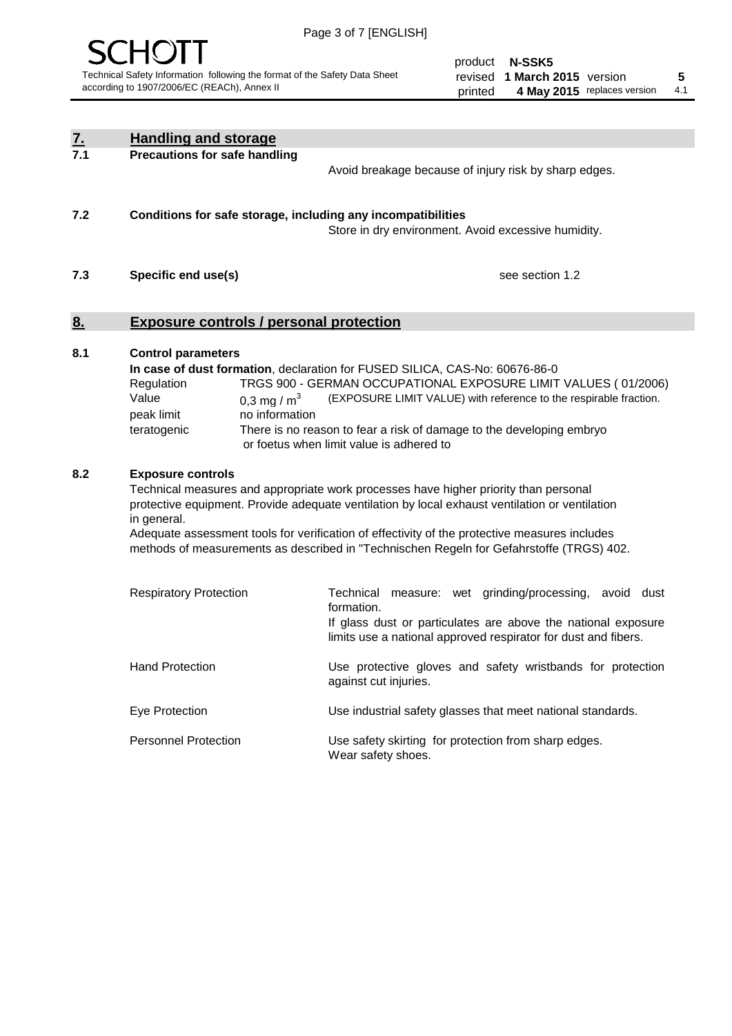

product **N-SSK5** revised **5 1 March 2015** version printed 4 May 2015 replaces version 4.1

| $\underline{\mathbf{7}}$ . | <b>Handling and storage</b>                                                                                                                                                                                                                                                                                                                                                                                                                                                                                               |                                                                                                                                                                                                                                                                                                                                        |
|----------------------------|---------------------------------------------------------------------------------------------------------------------------------------------------------------------------------------------------------------------------------------------------------------------------------------------------------------------------------------------------------------------------------------------------------------------------------------------------------------------------------------------------------------------------|----------------------------------------------------------------------------------------------------------------------------------------------------------------------------------------------------------------------------------------------------------------------------------------------------------------------------------------|
| 7.1                        | <b>Precautions for safe handling</b>                                                                                                                                                                                                                                                                                                                                                                                                                                                                                      | Avoid breakage because of injury risk by sharp edges.                                                                                                                                                                                                                                                                                  |
| 7.2                        | Conditions for safe storage, including any incompatibilities                                                                                                                                                                                                                                                                                                                                                                                                                                                              | Store in dry environment. Avoid excessive humidity.                                                                                                                                                                                                                                                                                    |
| 7.3                        | Specific end use(s)                                                                                                                                                                                                                                                                                                                                                                                                                                                                                                       | see section 1.2                                                                                                                                                                                                                                                                                                                        |
| <u>8.</u>                  | <b>Exposure controls / personal protection</b>                                                                                                                                                                                                                                                                                                                                                                                                                                                                            |                                                                                                                                                                                                                                                                                                                                        |
| 8.1                        | <b>Control parameters</b><br>Regulation<br>Value<br>0.3 mg / $m3$<br>no information<br>peak limit<br>teratogenic                                                                                                                                                                                                                                                                                                                                                                                                          | In case of dust formation, declaration for FUSED SILICA, CAS-No: 60676-86-0<br>TRGS 900 - GERMAN OCCUPATIONAL EXPOSURE LIMIT VALUES (01/2006)<br>(EXPOSURE LIMIT VALUE) with reference to the respirable fraction.<br>There is no reason to fear a risk of damage to the developing embryo<br>or foetus when limit value is adhered to |
| 8.2                        | <b>Exposure controls</b><br>Technical measures and appropriate work processes have higher priority than personal<br>protective equipment. Provide adequate ventilation by local exhaust ventilation or ventilation<br>in general.<br>Adequate assessment tools for verification of effectivity of the protective measures includes<br>methods of measurements as described in "Technischen Regeln for Gefahrstoffe (TRGS) 402.<br>Technical measure: wet grinding/processing, avoid dust<br><b>Respiratory Protection</b> |                                                                                                                                                                                                                                                                                                                                        |
|                            |                                                                                                                                                                                                                                                                                                                                                                                                                                                                                                                           | formation.<br>If glass dust or particulates are above the national exposure<br>limits use a national approved respirator for dust and fibers.                                                                                                                                                                                          |
|                            | <b>Hand Protection</b>                                                                                                                                                                                                                                                                                                                                                                                                                                                                                                    | Use protective gloves and safety wristbands for protection<br>against cut injuries.                                                                                                                                                                                                                                                    |
|                            | Eye Protection                                                                                                                                                                                                                                                                                                                                                                                                                                                                                                            | Use industrial safety glasses that meet national standards.                                                                                                                                                                                                                                                                            |
|                            | <b>Personnel Protection</b>                                                                                                                                                                                                                                                                                                                                                                                                                                                                                               | Use safety skirting for protection from sharp edges.<br>Wear safety shoes.                                                                                                                                                                                                                                                             |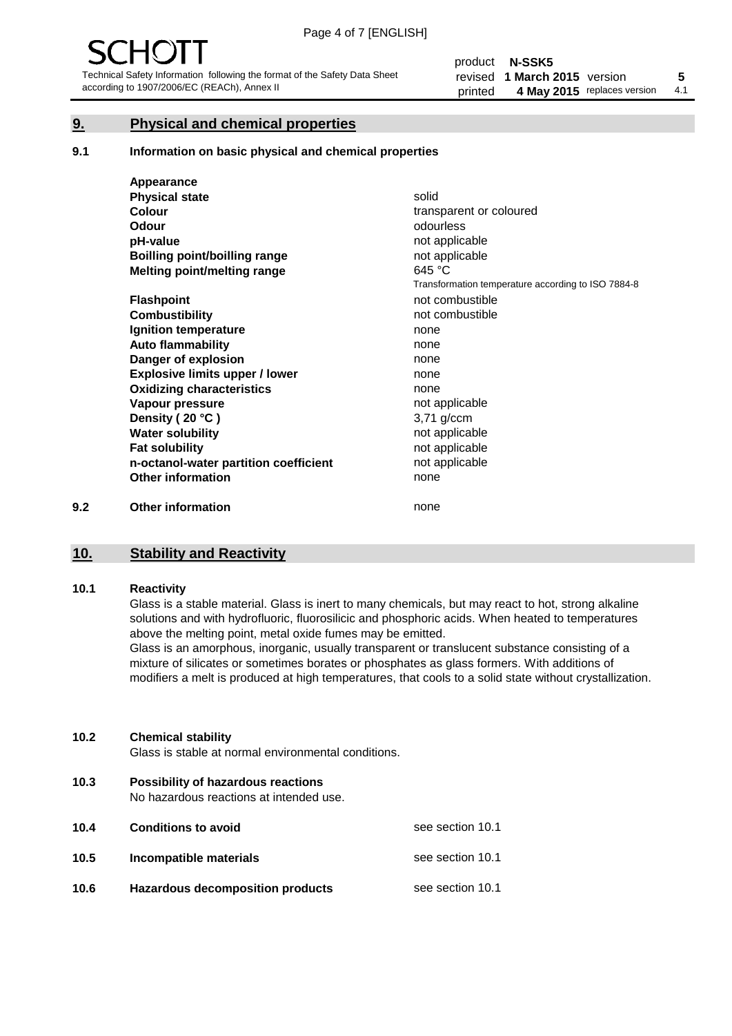#### **9. Physical and chemical properties**

#### **9.1 Information on basic physical and chemical properties**

|     | Appearance                            |                                                    |
|-----|---------------------------------------|----------------------------------------------------|
|     | <b>Physical state</b>                 | solid                                              |
|     | <b>Colour</b>                         | transparent or coloured                            |
|     | <b>Odour</b>                          | odourless                                          |
|     | pH-value                              | not applicable                                     |
|     | <b>Boilling point/boilling range</b>  | not applicable                                     |
|     | Melting point/melting range           | 645 °C                                             |
|     |                                       | Transformation temperature according to ISO 7884-8 |
|     | <b>Flashpoint</b>                     | not combustible                                    |
|     | <b>Combustibility</b>                 | not combustible                                    |
|     | Ignition temperature                  | none                                               |
|     | <b>Auto flammability</b>              | none                                               |
|     | Danger of explosion                   | none                                               |
|     | <b>Explosive limits upper / lower</b> | none                                               |
|     | <b>Oxidizing characteristics</b>      | none                                               |
|     | Vapour pressure                       | not applicable                                     |
|     | Density (20 °C)                       | 3,71 g/ccm                                         |
|     | <b>Water solubility</b>               | not applicable                                     |
|     | <b>Fat solubility</b>                 | not applicable                                     |
|     | n-octanol-water partition coefficient | not applicable                                     |
|     | <b>Other information</b>              | none                                               |
| 9.2 | <b>Other information</b>              | none                                               |

#### **10. Stability and Reactivity**

#### **10.1 Reactivity**

Glass is a stable material. Glass is inert to many chemicals, but may react to hot, strong alkaline solutions and with hydrofluoric, fluorosilicic and phosphoric acids. When heated to temperatures above the melting point, metal oxide fumes may be emitted.

Glass is an amorphous, inorganic, usually transparent or translucent substance consisting of a mixture of silicates or sometimes borates or phosphates as glass formers. With additions of modifiers a melt is produced at high temperatures, that cools to a solid state without crystallization.

#### **10.2 Chemical stability**

Glass is stable at normal environmental conditions.

**10.3 Possibility of hazardous reactions** 

No hazardous reactions at intended use.

| 10.4 | <b>Conditions to avoid</b>              | see section 10.1 |
|------|-----------------------------------------|------------------|
| 10.5 | Incompatible materials                  | see section 10.1 |
| 10.6 | <b>Hazardous decomposition products</b> | see section 10.1 |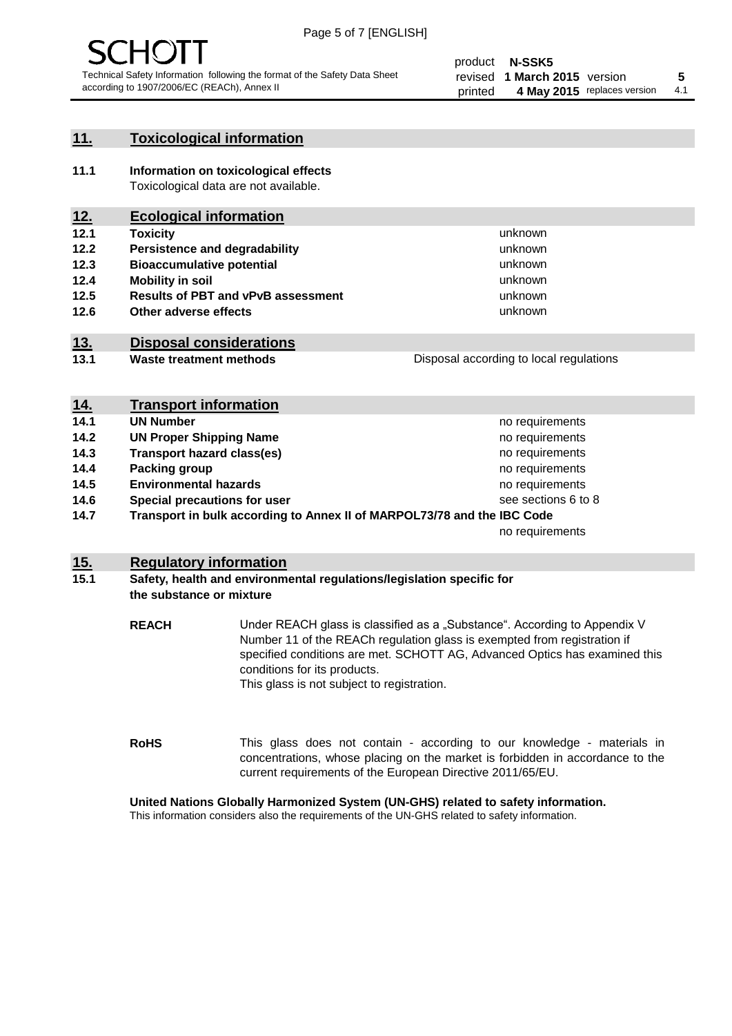

#### **11. Toxicological information**

**11.1 Information on toxicological effects** Toxicological data are not available.

## **12. Ecological information**

- **12.1 Toxicity**
- **12.2 Persistence and degradability**
- **12.3 Bioaccumulative potential**
- **12.4 Mobility in soil**
- **12.5 Results of PBT and vPvB assessment**
- **12.6 Other adverse effects**

#### **13. Disposal considerations**

**13.1 Waste treatment methods**

Disposal according to local regulations

unknown unknown unknown unknown

unknown unknown

| <u>14.</u> | <b>Transport information</b>                                            |                     |
|------------|-------------------------------------------------------------------------|---------------------|
| 14.1       | <b>UN Number</b>                                                        | no requirements     |
| 14.2       | <b>UN Proper Shipping Name</b>                                          | no requirements     |
| 14.3       | <b>Transport hazard class(es)</b>                                       | no requirements     |
| 14.4       | Packing group                                                           | no requirements     |
| 14.5       | <b>Environmental hazards</b>                                            | no requirements     |
| 14.6       | Special precautions for user                                            | see sections 6 to 8 |
| 14.7       | Transport in bulk according to Annex II of MARPOL73/78 and the IBC Code |                     |
|            |                                                                         | no requirements     |

#### **15. Regulatory information**

#### **15.1 Safety, health and environmental regulations/legislation specific for the substance or mixture**

**REACH** Under REACH glass is classified as a "Substance". According to Appendix V Number 11 of the REACh regulation glass is exempted from registration if specified conditions are met. SCHOTT AG, Advanced Optics has examined this conditions for its products. This glass is not subject to registration.

**RoHS** This glass does not contain - according to our knowledge - materials in concentrations, whose placing on the market is forbidden in accordance to the current requirements of the European Directive 2011/65/EU.

#### **United Nations Globally Harmonized System (UN-GHS) related to safety information.**

This information considers also the requirements of the UN-GHS related to safety information.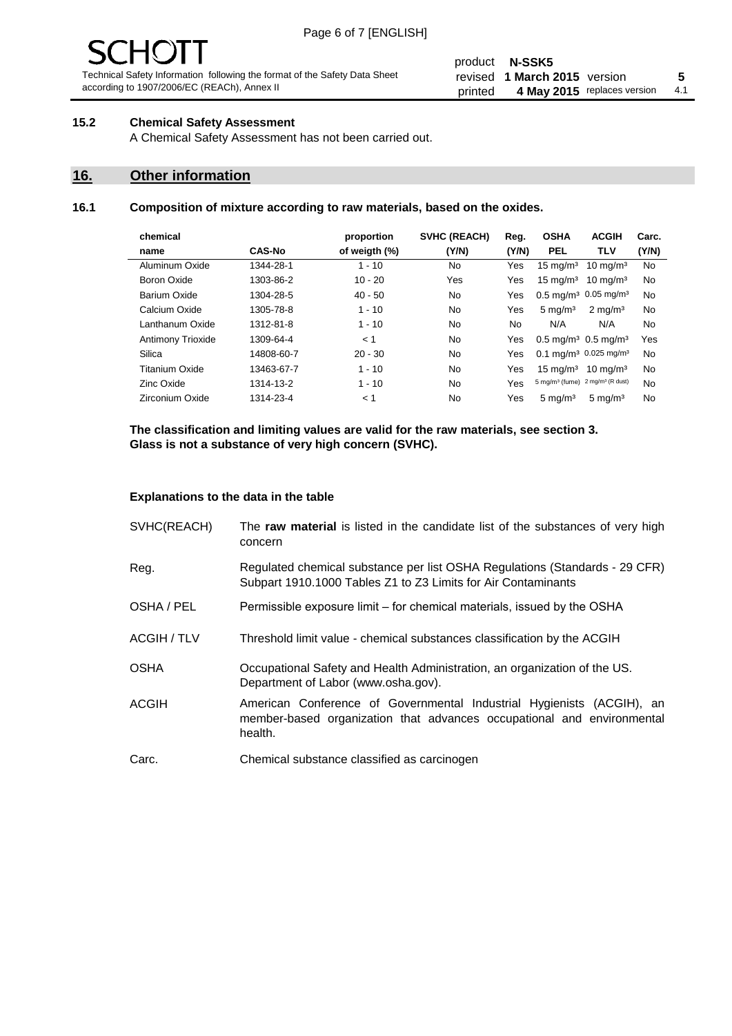# 10 J

Technical Safety Information following the format of the Safety Data Sheet according to 1907/2006/EC (REACh), Annex II

#### product **N-SSK5** revised **5 1 March 2015** version printed 4 May 2015 replaces version 4.1

#### **15.2 Chemical Safety Assessment**

A Chemical Safety Assessment has not been carried out.

#### **16. Other information**

#### **16.1 Composition of mixture according to raw materials, based on the oxides.**

| chemical                 |               | proportion    | <b>SVHC (REACH)</b> | Reg.  | <b>OSHA</b>                                             | <b>ACGIH</b>        | Carc. |
|--------------------------|---------------|---------------|---------------------|-------|---------------------------------------------------------|---------------------|-------|
| name                     | <b>CAS-No</b> | of weigth (%) | (Y/N)               | (Y/N) | <b>PEL</b>                                              | TLV                 | (Y/N) |
| Aluminum Oxide           | 1344-28-1     | $1 - 10$      | No.                 | Yes   | $15 \text{ mg/m}^3$                                     | $10 \text{ mg/m}^3$ | No    |
| Boron Oxide              | 1303-86-2     | $10 - 20$     | Yes                 | Yes   | $15 \text{ mg/m}^3$                                     | $10 \text{ mg/m}^3$ | No    |
| Barium Oxide             | 1304-28-5     | $40 - 50$     | No.                 | Yes   | $0.5 \text{ mg/m}^3$ 0.05 mg/m <sup>3</sup>             |                     | No    |
| Calcium Oxide            | 1305-78-8     | $1 - 10$      | No.                 | Yes   | $5 \text{ mg/m}^3$                                      | $2 \text{ mg/m}^3$  | No    |
| Lanthanum Oxide          | 1312-81-8     | $1 - 10$      | No.                 | No.   | N/A                                                     | N/A                 | No    |
| <b>Antimony Trioxide</b> | 1309-64-4     | < 1           | No.                 | Yes   | $0.5 \,\mathrm{mq/m^3}$ 0.5 mg/m <sup>3</sup>           |                     | Yes   |
| Silica                   | 14808-60-7    | $20 - 30$     | <b>No</b>           | Yes   | $0.1 \text{ mg/m}^3$ 0.025 mg/m <sup>3</sup>            |                     | No    |
| Titanium Oxide           | 13463-67-7    | $1 - 10$      | <b>No</b>           | Yes   | $15 \text{ mg/m}^3$                                     | $10 \text{ mg/m}^3$ | No    |
| Zinc Oxide               | 1314-13-2     | $1 - 10$      | No.                 | Yes   | 5 mg/m <sup>3</sup> (fume) 2 mg/m <sup>3</sup> (R dust) |                     | No    |
| Zirconium Oxide          | 1314-23-4     | < 1           | No.                 | Yes   | $5 \text{ mg/m}^3$                                      | $5 \text{ mg/m}^3$  | No    |

**The classification and limiting values are valid for the raw materials, see section 3. Glass is not a substance of very high concern (SVHC).**

#### **Explanations to the data in the table**

| SVHC(REACH)        | The raw material is listed in the candidate list of the substances of very high<br>concern                                                                 |
|--------------------|------------------------------------------------------------------------------------------------------------------------------------------------------------|
| Reg.               | Regulated chemical substance per list OSHA Regulations (Standards - 29 CFR)<br>Subpart 1910.1000 Tables Z1 to Z3 Limits for Air Contaminants               |
| OSHA / PEL         | Permissible exposure limit – for chemical materials, issued by the OSHA                                                                                    |
| <b>ACGIH / TLV</b> | Threshold limit value - chemical substances classification by the ACGIH                                                                                    |
| <b>OSHA</b>        | Occupational Safety and Health Administration, an organization of the US.<br>Department of Labor (www.osha.gov).                                           |
| <b>ACGIH</b>       | American Conference of Governmental Industrial Hygienists (ACGIH), an<br>member-based organization that advances occupational and environmental<br>health. |
| Carc.              | Chemical substance classified as carcinogen                                                                                                                |